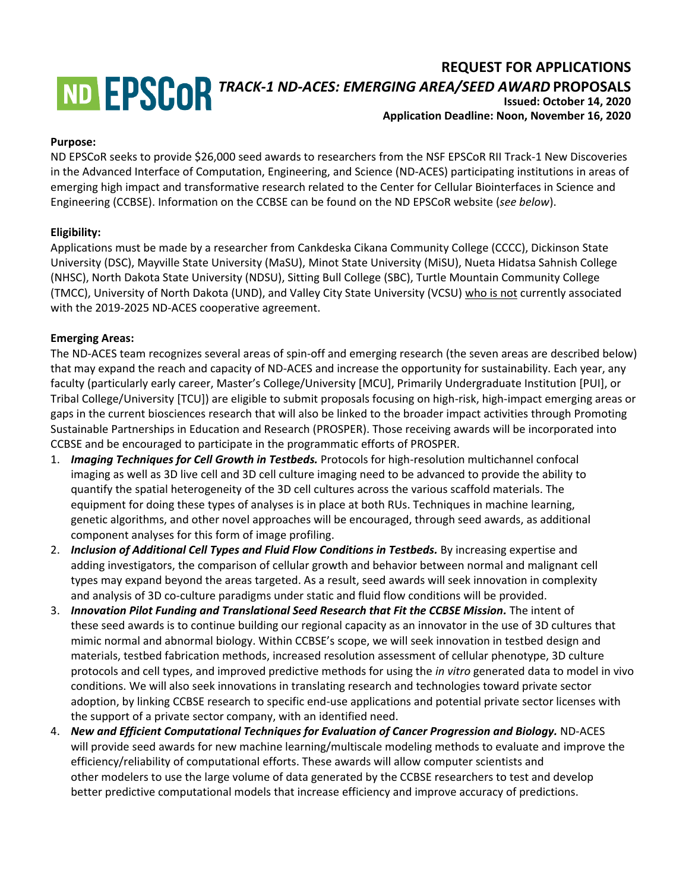# **REQUEST FOR APPLICATIONS** *TRACK-1 ND-ACES: EMERGING AREA/SEED AWARD* **PROPOSALS Issued: October 14, 2020**

# **Application Deadline: Noon, November 16, 2020**

#### **Purpose:**

ND EPSCoR seeks to provide \$26,000 seed awards to researchers from the NSF EPSCoR RII Track-1 New Discoveries in the Advanced Interface of Computation, Engineering, and Science (ND-ACES) participating institutions in areas of emerging high impact and transformative research related to the Center for Cellular Biointerfaces in Science and Engineering (CCBSE). Information on the CCBSE can be found on the ND EPSCoR website (*see below*).

### **Eligibility:**

Applications must be made by a researcher from Cankdeska Cikana Community College (CCCC), Dickinson State University (DSC), Mayville State University (MaSU), Minot State University (MiSU), Nueta Hidatsa Sahnish College (NHSC), North Dakota State University (NDSU), Sitting Bull College (SBC), Turtle Mountain Community College (TMCC), University of North Dakota (UND), and Valley City State University (VCSU) who is not currently associated with the 2019-2025 ND-ACES cooperative agreement.

#### **Emerging Areas:**

The ND-ACES team recognizes several areas of spin-off and emerging research (the seven areas are described below) that may expand the reach and capacity of ND-ACES and increase the opportunity for sustainability. Each year, any faculty (particularly early career, Master's College/University [MCU], Primarily Undergraduate Institution [PUI], or Tribal College/University [TCU]) are eligible to submit proposals focusing on high-risk, high-impact emerging areas or gaps in the current biosciences research that will also be linked to the broader impact activities through Promoting Sustainable Partnerships in Education and Research (PROSPER). Those receiving awards will be incorporated into CCBSE and be encouraged to participate in the programmatic efforts of PROSPER.

- 1. *Imaging Techniques for Cell Growth in Testbeds.* Protocols for high-resolution multichannel confocal imaging as well as 3D live cell and 3D cell culture imaging need to be advanced to provide the ability to quantify the spatial heterogeneity of the 3D cell cultures across the various scaffold materials. The equipment for doing these types of analyses is in place at both RUs. Techniques in machine learning, genetic algorithms, and other novel approaches will be encouraged, through seed awards, as additional component analyses for this form of image profiling.
- 2. *Inclusion of Additional Cell Types and Fluid Flow Conditions in Testbeds.* By increasing expertise and adding investigators, the comparison of cellular growth and behavior between normal and malignant cell types may expand beyond the areas targeted. As a result, seed awards will seek innovation in complexity and analysis of 3D co-culture paradigms under static and fluid flow conditions will be provided.
- 3. *Innovation Pilot Funding and Translational Seed Research that Fit the CCBSE Mission.* The intent of these seed awards is to continue building our regional capacity as an innovator in the use of 3D cultures that mimic normal and abnormal biology. Within CCBSE's scope, we will seek innovation in testbed design and materials, testbed fabrication methods, increased resolution assessment of cellular phenotype, 3D culture protocols and cell types, and improved predictive methods for using the *in vitro* generated data to model in vivo conditions. We will also seek innovations in translating research and technologies toward private sector adoption, by linking CCBSE research to specific end-use applications and potential private sector licenses with the support of a private sector company, with an identified need.
- 4. *New and Efficient Computational Techniques for Evaluation of Cancer Progression and Biology.* ND-ACES will provide seed awards for new machine learning/multiscale modeling methods to evaluate and improve the efficiency/reliability of computational efforts. These awards will allow computer scientists and other modelers to use the large volume of data generated by the CCBSE researchers to test and develop better predictive computational models that increase efficiency and improve accuracy of predictions.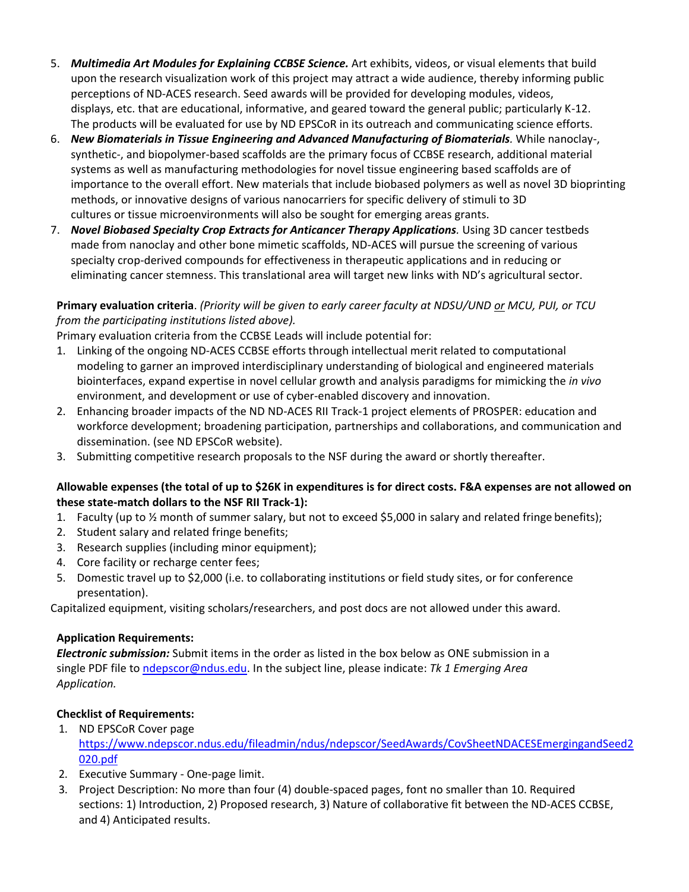- 5. *Multimedia Art Modules for Explaining CCBSE Science.* Art exhibits, videos, or visual elements that build upon the research visualization work of this project may attract a wide audience, thereby informing public perceptions of ND-ACES research. Seed awards will be provided for developing modules, videos, displays, etc. that are educational, informative, and geared toward the general public; particularly K-12. The products will be evaluated for use by ND EPSCoR in its outreach and communicating science efforts.
- 6. *New Biomaterials in Tissue Engineering and Advanced Manufacturing of Biomaterials.* While nanoclay-, synthetic-, and biopolymer-based scaffolds are the primary focus of CCBSE research, additional material systems as well as manufacturing methodologies for novel tissue engineering based scaffolds are of importance to the overall effort. New materials that include biobased polymers as well as novel 3D bioprinting methods, or innovative designs of various nanocarriers for specific delivery of stimuli to 3D cultures or tissue microenvironments will also be sought for emerging areas grants.
- 7. *Novel Biobased Specialty Crop Extracts for Anticancer Therapy Applications. Using 3D cancer testbeds* made from nanoclay and other bone mimetic scaffolds, ND-ACES will pursue the screening of various specialty crop-derived compounds for effectiveness in therapeutic applications and in reducing or eliminating cancer stemness. This translational area will target new links with ND's agricultural sector.

## **Primary evaluation criteria**. *(Priority will be given to early career faculty at NDSU/UND or MCU, PUI, or TCU from the participating institutions listed above).*

Primary evaluation criteria from the CCBSE Leads will include potential for:

- 1. Linking of the ongoing ND-ACES CCBSE efforts through intellectual merit related to computational modeling to garner an improved interdisciplinary understanding of biological and engineered materials biointerfaces, expand expertise in novel cellular growth and analysis paradigms for mimicking the *in vivo* environment, and development or use of cyber-enabled discovery and innovation.
- 2. Enhancing broader impacts of the ND ND-ACES RII Track-1 project elements of PROSPER: education and workforce development; broadening participation, partnerships and collaborations, and communication and dissemination. (see ND EPSCoR website).
- 3. Submitting competitive research proposals to the NSF during the award or shortly thereafter.

### **Allowable expenses (the total of up to \$26K in expenditures is for direct costs. F&A expenses are not allowed on these state-match dollars to the NSF RII Track-1):**

- 1. Faculty (up to ½ month of summer salary, but not to exceed \$5,000 in salary and related fringe benefits);
- 2. Student salary and related fringe benefits;
- 3. Research supplies (including minor equipment);
- 4. Core facility or recharge center fees;
- 5. Domestic travel up to \$2,000 (i.e. to collaborating institutions or field study sites, or for conference presentation).

Capitalized equipment, visiting scholars/researchers, and post docs are not allowed under this award.

### **Application Requirements:**

*Electronic submission:* Submit items in the order as listed in the box below as ONE submission in a single PDF file to [ndepscor@ndus.edu.](mailto:ndepscor@ndus.edu) In the subject line, please indicate: *Tk 1 Emerging Area Application.*

# **Checklist of Requirements:**

- 1. ND EPSCoR Cover page [https://www.ndepscor.ndus.edu/fileadmin/ndus/ndepscor/SeedAwards/CovSheetNDACESEmergingandSeed2](https://www.ndepscor.ndus.edu/fileadmin/ndus/ndepscor/SeedAwards/CovSheetNDACESEmergingandSeed2020.pdf) [020.pdf](https://www.ndepscor.ndus.edu/fileadmin/ndus/ndepscor/SeedAwards/CovSheetNDACESEmergingandSeed2020.pdf)
- 2. Executive Summary One-page limit.
- 3. Project Description: No more than four (4) double-spaced pages, font no smaller than 10. Required sections: 1) Introduction, 2) Proposed research, 3) Nature of collaborative fit between the ND-ACES CCBSE, and 4) Anticipated results.